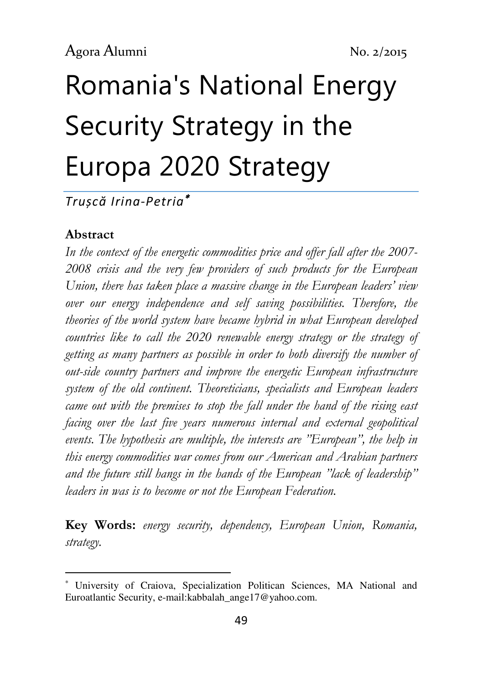# Romania's National Energy Security Strategy in the Europa 2020 Strategy

Trușcă Irina-Petria<sup>∗</sup>

#### Abstract

l

In the context of the energetic commodities price and offer fall after the 2007- 2008 crisis and the very few providers of such products for the European Union, there has taken place a massive change in the European leaders' view over our energy independence and self saving possibilities. Therefore, the theories of the world system have became hybrid in what European developed countries like to call the 2020 renewable energy strategy or the strategy of getting as many partners as possible in order to both diversify the number of out-side country partners and improve the energetic European infrastructure system of the old continent. Theoreticians, specialists and European leaders came out with the premises to stop the fall under the hand of the rising east facing over the last five years numerous internal and external geopolitical events. The hypothesis are multiple, the interests are "European", the help in this energy commodities war comes from our American and Arabian partners and the future still hangs in the hands of the European "lack of leadership" leaders in was is to become or not the European Federation.

Key Words: energy security, dependency, European Union, Romania, strategy.

<sup>∗</sup> University of Craiova, Specialization Politican Sciences, MA National and Euroatlantic Security, e-mail:kabbalah\_ange17@yahoo.com.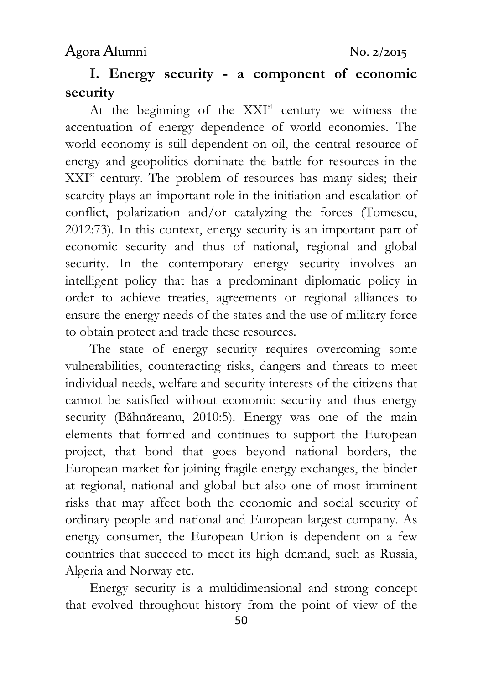# I. Energy security - a component of economic security

At the beginning of the  $XXI<sup>st</sup>$  century we witness the accentuation of energy dependence of world economies. The world economy is still dependent on oil, the central resource of energy and geopolitics dominate the battle for resources in the XXI<sup>st</sup> century. The problem of resources has many sides; their scarcity plays an important role in the initiation and escalation of conflict, polarization and/or catalyzing the forces (Tomescu, 2012:73). In this context, energy security is an important part of economic security and thus of national, regional and global security. In the contemporary energy security involves an intelligent policy that has a predominant diplomatic policy in order to achieve treaties, agreements or regional alliances to ensure the energy needs of the states and the use of military force to obtain protect and trade these resources.

The state of energy security requires overcoming some vulnerabilities, counteracting risks, dangers and threats to meet individual needs, welfare and security interests of the citizens that cannot be satisfied without economic security and thus energy security (Băhnăreanu, 2010:5). Energy was one of the main elements that formed and continues to support the European project, that bond that goes beyond national borders, the European market for joining fragile energy exchanges, the binder at regional, national and global but also one of most imminent risks that may affect both the economic and social security of ordinary people and national and European largest company. As energy consumer, the European Union is dependent on a few countries that succeed to meet its high demand, such as Russia, Algeria and Norway etc.

Energy security is a multidimensional and strong concept that evolved throughout history from the point of view of the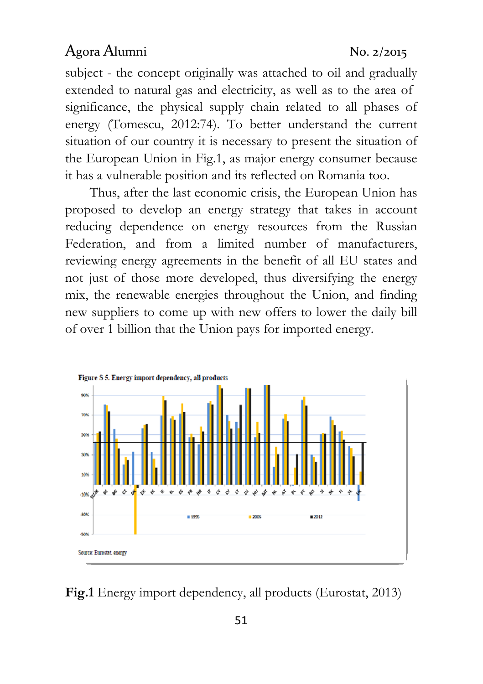subject - the concept originally was attached to oil and gradually extended to natural gas and electricity, as well as to the area of significance, the physical supply chain related to all phases of energy (Tomescu, 2012:74). To better understand the current situation of our country it is necessary to present the situation of the European Union in Fig.1, as major energy consumer because it has a vulnerable position and its reflected on Romania too.

Thus, after the last economic crisis, the European Union has proposed to develop an energy strategy that takes in account reducing dependence on energy resources from the Russian Federation, and from a limited number of manufacturers, reviewing energy agreements in the benefit of all EU states and not just of those more developed, thus diversifying the energy mix, the renewable energies throughout the Union, and finding new suppliers to come up with new offers to lower the daily bill of over 1 billion that the Union pays for imported energy.



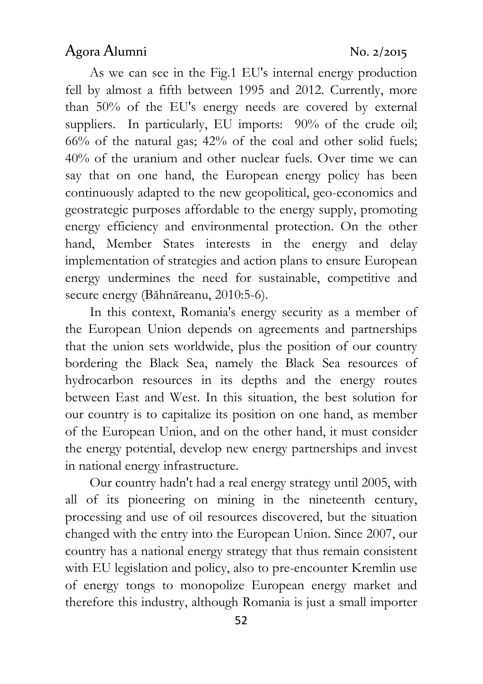As we can see in the Fig.1 EU's internal energy production fell by almost a fifth between 1995 and 2012. Currently, more than 50% of the EU's energy needs are covered by external suppliers. In particularly, EU imports: 90% of the crude oil; 66% of the natural gas; 42% of the coal and other solid fuels; 40% of the uranium and other nuclear fuels. Over time we can say that on one hand, the European energy policy has been continuously adapted to the new geopolitical, geo-economics and geostrategic purposes affordable to the energy supply, promoting energy efficiency and environmental protection. On the other hand, Member States interests in the energy and delay implementation of strategies and action plans to ensure European energy undermines the need for sustainable, competitive and secure energy (Băhnăreanu, 2010:5-6).

In this context, Romania's energy security as a member of the European Union depends on agreements and partnerships that the union sets worldwide, plus the position of our country bordering the Black Sea, namely the Black Sea resources of hydrocarbon resources in its depths and the energy routes between East and West. In this situation, the best solution for our country is to capitalize its position on one hand, as member of the European Union, and on the other hand, it must consider the energy potential, develop new energy partnerships and invest in national energy infrastructure.

Our country hadn't had a real energy strategy until 2005, with all of its pioneering on mining in the nineteenth century, processing and use of oil resources discovered, but the situation changed with the entry into the European Union. Since 2007, our country has a national energy strategy that thus remain consistent with EU legislation and policy, also to pre-encounter Kremlin use of energy tongs to monopolize European energy market and therefore this industry, although Romania is just a small importer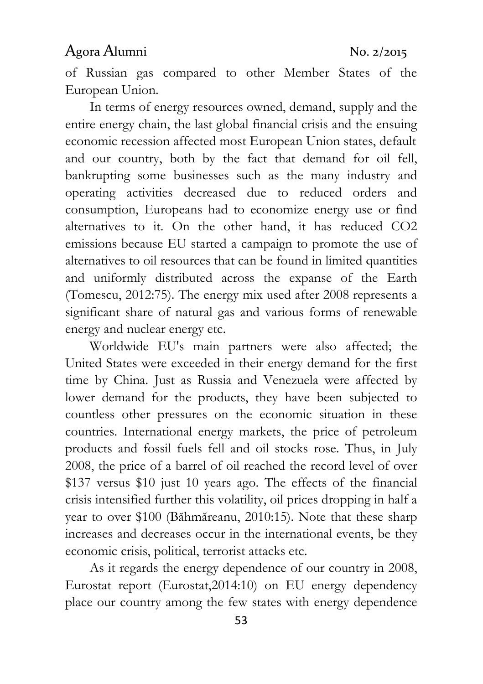of Russian gas compared to other Member States of the European Union.

In terms of energy resources owned, demand, supply and the entire energy chain, the last global financial crisis and the ensuing economic recession affected most European Union states, default and our country, both by the fact that demand for oil fell, bankrupting some businesses such as the many industry and operating activities decreased due to reduced orders and consumption, Europeans had to economize energy use or find alternatives to it. On the other hand, it has reduced CO2 emissions because EU started a campaign to promote the use of alternatives to oil resources that can be found in limited quantities and uniformly distributed across the expanse of the Earth (Tomescu, 2012:75). The energy mix used after 2008 represents a significant share of natural gas and various forms of renewable energy and nuclear energy etc.

Worldwide EU's main partners were also affected; the United States were exceeded in their energy demand for the first time by China. Just as Russia and Venezuela were affected by lower demand for the products, they have been subjected to countless other pressures on the economic situation in these countries. International energy markets, the price of petroleum products and fossil fuels fell and oil stocks rose. Thus, in July 2008, the price of a barrel of oil reached the record level of over \$137 versus \$10 just 10 years ago. The effects of the financial crisis intensified further this volatility, oil prices dropping in half a year to over \$100 (Băhmăreanu, 2010:15). Note that these sharp increases and decreases occur in the international events, be they economic crisis, political, terrorist attacks etc.

As it regards the energy dependence of our country in 2008, Eurostat report (Eurostat,2014:10) on EU energy dependency place our country among the few states with energy dependence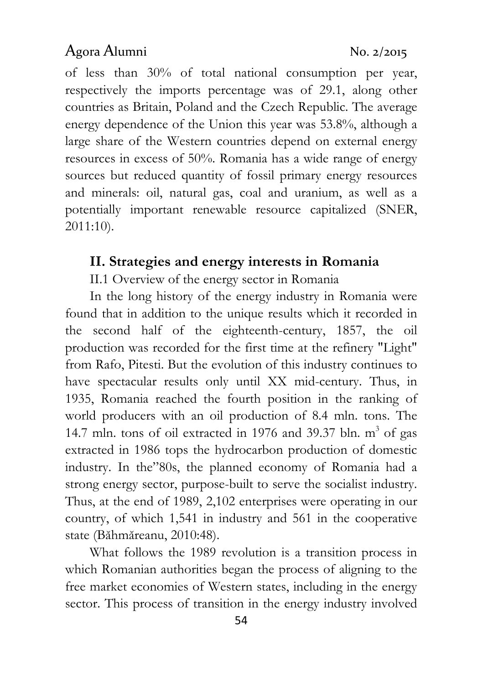of less than 30% of total national consumption per year, respectively the imports percentage was of 29.1, along other countries as Britain, Poland and the Czech Republic. The average energy dependence of the Union this year was 53.8%, although a large share of the Western countries depend on external energy resources in excess of 50%. Romania has a wide range of energy sources but reduced quantity of fossil primary energy resources and minerals: oil, natural gas, coal and uranium, as well as a potentially important renewable resource capitalized (SNER, 2011:10).

#### II. Strategies and energy interests in Romania

II.1 Overview of the energy sector in Romania

In the long history of the energy industry in Romania were found that in addition to the unique results which it recorded in the second half of the eighteenth-century, 1857, the oil production was recorded for the first time at the refinery "Light" from Rafo, Pitesti. But the evolution of this industry continues to have spectacular results only until XX mid-century. Thus, in 1935, Romania reached the fourth position in the ranking of world producers with an oil production of 8.4 mln. tons. The 14.7 mln. tons of oil extracted in 1976 and 39.37 bln.  $m^3$  of gas extracted in 1986 tops the hydrocarbon production of domestic industry. In the"80s, the planned economy of Romania had a strong energy sector, purpose-built to serve the socialist industry. Thus, at the end of 1989, 2,102 enterprises were operating in our country, of which 1,541 in industry and 561 in the cooperative state (Băhmăreanu, 2010:48).

What follows the 1989 revolution is a transition process in which Romanian authorities began the process of aligning to the free market economies of Western states, including in the energy sector. This process of transition in the energy industry involved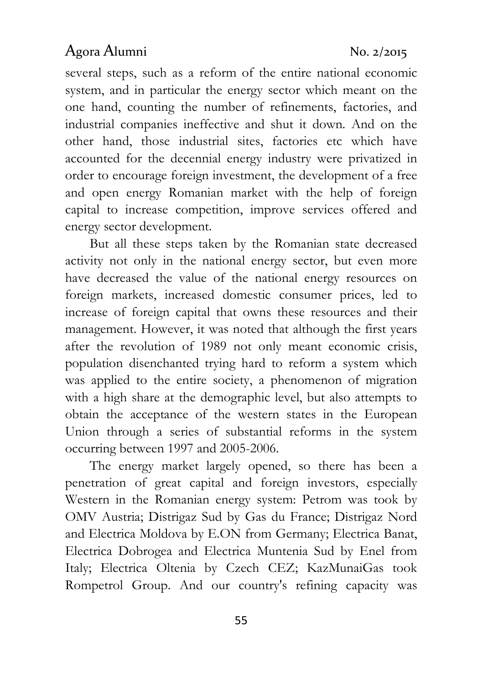several steps, such as a reform of the entire national economic system, and in particular the energy sector which meant on the one hand, counting the number of refinements, factories, and industrial companies ineffective and shut it down. And on the other hand, those industrial sites, factories etc which have accounted for the decennial energy industry were privatized in order to encourage foreign investment, the development of a free and open energy Romanian market with the help of foreign capital to increase competition, improve services offered and energy sector development.

But all these steps taken by the Romanian state decreased activity not only in the national energy sector, but even more have decreased the value of the national energy resources on foreign markets, increased domestic consumer prices, led to increase of foreign capital that owns these resources and their management. However, it was noted that although the first years after the revolution of 1989 not only meant economic crisis, population disenchanted trying hard to reform a system which was applied to the entire society, a phenomenon of migration with a high share at the demographic level, but also attempts to obtain the acceptance of the western states in the European Union through a series of substantial reforms in the system occurring between 1997 and 2005-2006.

The energy market largely opened, so there has been a penetration of great capital and foreign investors, especially Western in the Romanian energy system: Petrom was took by OMV Austria; Distrigaz Sud by Gas du France; Distrigaz Nord and Electrica Moldova by E.ON from Germany; Electrica Banat, Electrica Dobrogea and Electrica Muntenia Sud by Enel from Italy; Electrica Oltenia by Czech CEZ; KazMunaiGas took Rompetrol Group. And our country's refining capacity was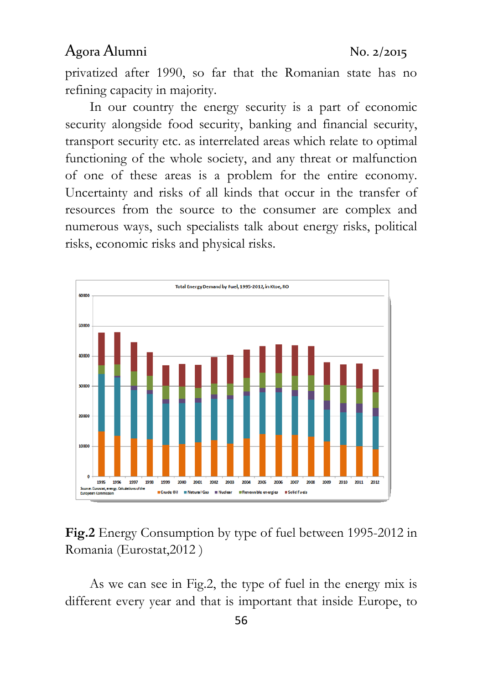privatized after 1990, so far that the Romanian state has no refining capacity in majority.

In our country the energy security is a part of economic security alongside food security, banking and financial security, transport security etc. as interrelated areas which relate to optimal functioning of the whole society, and any threat or malfunction of one of these areas is a problem for the entire economy. Uncertainty and risks of all kinds that occur in the transfer of resources from the source to the consumer are complex and numerous ways, such specialists talk about energy risks, political risks, economic risks and physical risks.



#### Fig.2 Energy Consumption by type of fuel between 1995-2012 in Romania (Eurostat,2012 )

As we can see in Fig.2, the type of fuel in the energy mix is different every year and that is important that inside Europe, to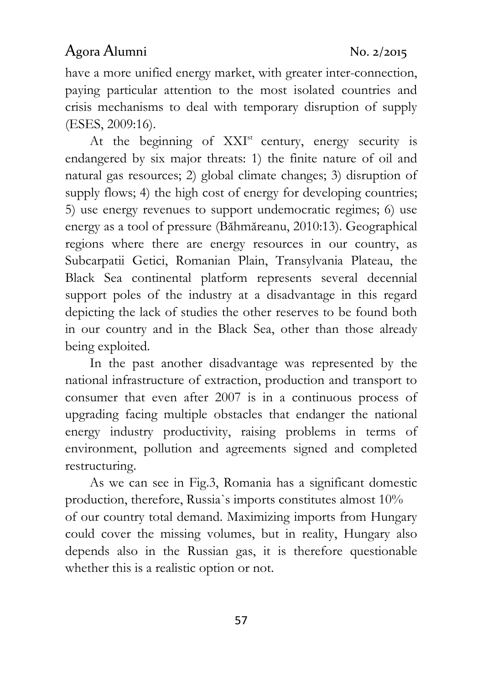have a more unified energy market, with greater inter-connection, paying particular attention to the most isolated countries and crisis mechanisms to deal with temporary disruption of supply (ESES, 2009:16).

At the beginning of  $XXI<sup>st</sup>$  century, energy security is endangered by six major threats: 1) the finite nature of oil and natural gas resources; 2) global climate changes; 3) disruption of supply flows; 4) the high cost of energy for developing countries; 5) use energy revenues to support undemocratic regimes; 6) use energy as a tool of pressure (Băhmăreanu, 2010:13). Geographical regions where there are energy resources in our country, as Subcarpatii Getici, Romanian Plain, Transylvania Plateau, the Black Sea continental platform represents several decennial support poles of the industry at a disadvantage in this regard depicting the lack of studies the other reserves to be found both in our country and in the Black Sea, other than those already being exploited.

In the past another disadvantage was represented by the national infrastructure of extraction, production and transport to consumer that even after 2007 is in a continuous process of upgrading facing multiple obstacles that endanger the national energy industry productivity, raising problems in terms of environment, pollution and agreements signed and completed restructuring.

As we can see in Fig.3, Romania has a significant domestic production, therefore, Russia`s imports constitutes almost 10% of our country total demand. Maximizing imports from Hungary could cover the missing volumes, but in reality, Hungary also depends also in the Russian gas, it is therefore questionable whether this is a realistic option or not.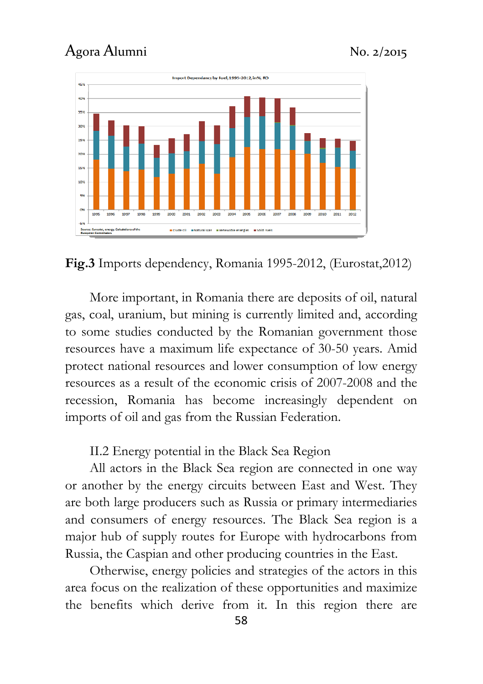

Fig.3 Imports dependency, Romania 1995-2012, (Eurostat,2012)

More important, in Romania there are deposits of oil, natural gas, coal, uranium, but mining is currently limited and, according to some studies conducted by the Romanian government those resources have a maximum life expectance of 30-50 years. Amid protect national resources and lower consumption of low energy resources as a result of the economic crisis of 2007-2008 and the recession, Romania has become increasingly dependent on imports of oil and gas from the Russian Federation.

II.2 Energy potential in the Black Sea Region

All actors in the Black Sea region are connected in one way or another by the energy circuits between East and West. They are both large producers such as Russia or primary intermediaries and consumers of energy resources. The Black Sea region is a major hub of supply routes for Europe with hydrocarbons from Russia, the Caspian and other producing countries in the East.

Otherwise, energy policies and strategies of the actors in this area focus on the realization of these opportunities and maximize the benefits which derive from it. In this region there are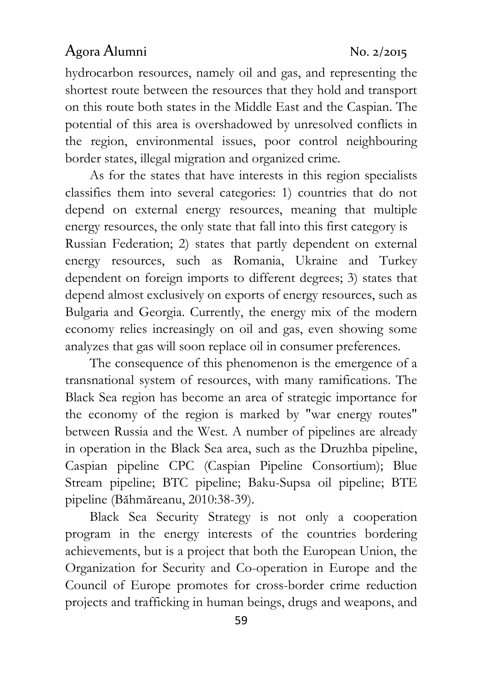hydrocarbon resources, namely oil and gas, and representing the shortest route between the resources that they hold and transport on this route both states in the Middle East and the Caspian. The potential of this area is overshadowed by unresolved conflicts in the region, environmental issues, poor control neighbouring border states, illegal migration and organized crime.

As for the states that have interests in this region specialists classifies them into several categories: 1) countries that do not depend on external energy resources, meaning that multiple energy resources, the only state that fall into this first category is Russian Federation; 2) states that partly dependent on external energy resources, such as Romania, Ukraine and Turkey dependent on foreign imports to different degrees; 3) states that depend almost exclusively on exports of energy resources, such as Bulgaria and Georgia. Currently, the energy mix of the modern economy relies increasingly on oil and gas, even showing some analyzes that gas will soon replace oil in consumer preferences.

The consequence of this phenomenon is the emergence of a transnational system of resources, with many ramifications. The Black Sea region has become an area of strategic importance for the economy of the region is marked by "war energy routes" between Russia and the West. A number of pipelines are already in operation in the Black Sea area, such as the Druzhba pipeline, Caspian pipeline CPC (Caspian Pipeline Consortium); Blue Stream pipeline; BTC pipeline; Baku-Supsa oil pipeline; BTE pipeline (Băhmăreanu, 2010:38-39).

Black Sea Security Strategy is not only a cooperation program in the energy interests of the countries bordering achievements, but is a project that both the European Union, the Organization for Security and Co-operation in Europe and the Council of Europe promotes for cross-border crime reduction projects and trafficking in human beings, drugs and weapons, and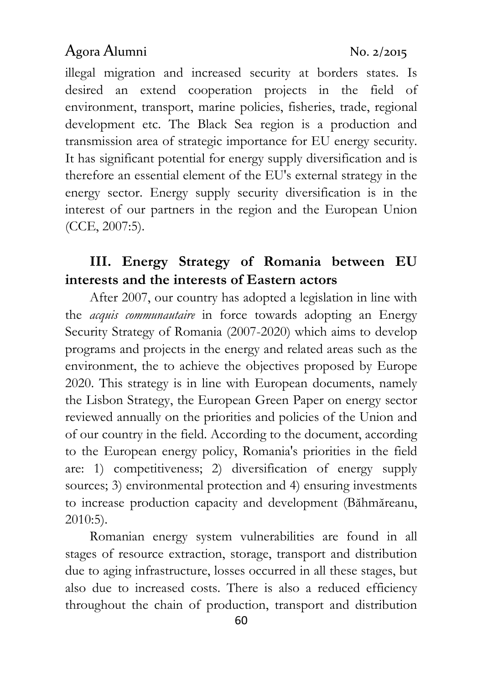illegal migration and increased security at borders states. Is desired an extend cooperation projects in the field of environment, transport, marine policies, fisheries, trade, regional development etc. The Black Sea region is a production and transmission area of strategic importance for EU energy security. It has significant potential for energy supply diversification and is therefore an essential element of the EU's external strategy in the energy sector. Energy supply security diversification is in the interest of our partners in the region and the European Union (CCE, 2007:5).

# III. Energy Strategy of Romania between EU interests and the interests of Eastern actors

After 2007, our country has adopted a legislation in line with the acquis communautaire in force towards adopting an Energy Security Strategy of Romania (2007-2020) which aims to develop programs and projects in the energy and related areas such as the environment, the to achieve the objectives proposed by Europe 2020. This strategy is in line with European documents, namely the Lisbon Strategy, the European Green Paper on energy sector reviewed annually on the priorities and policies of the Union and of our country in the field. According to the document, according to the European energy policy, Romania's priorities in the field are: 1) competitiveness; 2) diversification of energy supply sources; 3) environmental protection and 4) ensuring investments to increase production capacity and development (Băhmăreanu, 2010:5).

Romanian energy system vulnerabilities are found in all stages of resource extraction, storage, transport and distribution due to aging infrastructure, losses occurred in all these stages, but also due to increased costs. There is also a reduced efficiency throughout the chain of production, transport and distribution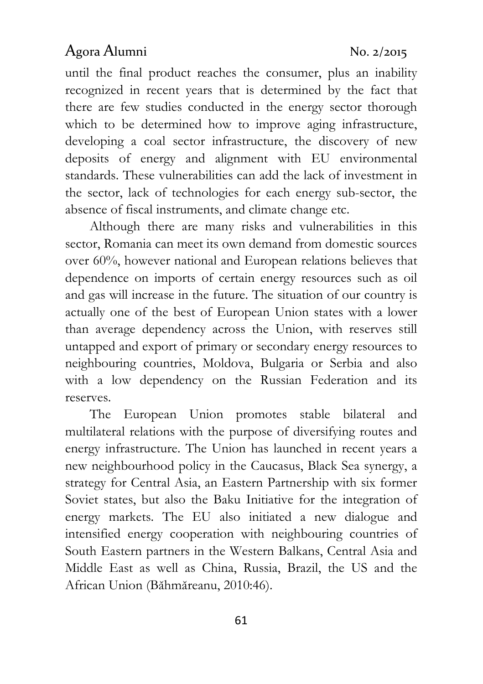until the final product reaches the consumer, plus an inability recognized in recent years that is determined by the fact that there are few studies conducted in the energy sector thorough which to be determined how to improve aging infrastructure, developing a coal sector infrastructure, the discovery of new deposits of energy and alignment with EU environmental standards. These vulnerabilities can add the lack of investment in the sector, lack of technologies for each energy sub-sector, the absence of fiscal instruments, and climate change etc.

Although there are many risks and vulnerabilities in this sector, Romania can meet its own demand from domestic sources over 60%, however national and European relations believes that dependence on imports of certain energy resources such as oil and gas will increase in the future. The situation of our country is actually one of the best of European Union states with a lower than average dependency across the Union, with reserves still untapped and export of primary or secondary energy resources to neighbouring countries, Moldova, Bulgaria or Serbia and also with a low dependency on the Russian Federation and its reserves.

The European Union promotes stable bilateral and multilateral relations with the purpose of diversifying routes and energy infrastructure. The Union has launched in recent years a new neighbourhood policy in the Caucasus, Black Sea synergy, a strategy for Central Asia, an Eastern Partnership with six former Soviet states, but also the Baku Initiative for the integration of energy markets. The EU also initiated a new dialogue and intensified energy cooperation with neighbouring countries of South Eastern partners in the Western Balkans, Central Asia and Middle East as well as China, Russia, Brazil, the US and the African Union (Băhmăreanu, 2010:46).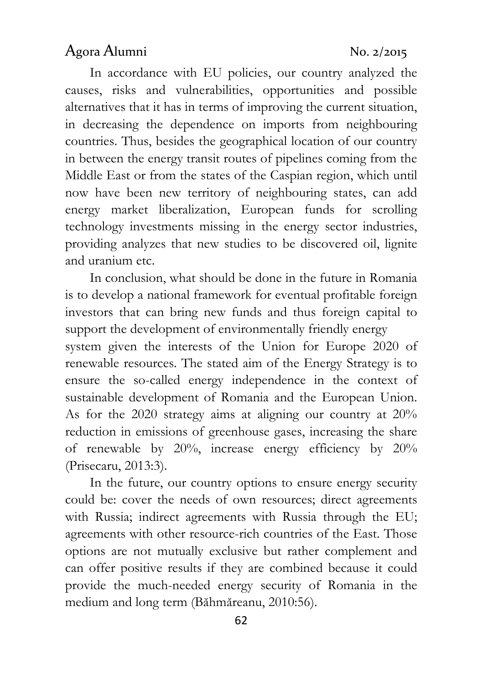In accordance with EU policies, our country analyzed the causes, risks and vulnerabilities, opportunities and possible alternatives that it has in terms of improving the current situation, in decreasing the dependence on imports from neighbouring countries. Thus, besides the geographical location of our country in between the energy transit routes of pipelines coming from the Middle East or from the states of the Caspian region, which until now have been new territory of neighbouring states, can add energy market liberalization, European funds for scrolling technology investments missing in the energy sector industries, providing analyzes that new studies to be discovered oil, lignite and uranium etc.

In conclusion, what should be done in the future in Romania is to develop a national framework for eventual profitable foreign investors that can bring new funds and thus foreign capital to support the development of environmentally friendly energy system given the interests of the Union for Europe 2020 of

renewable resources. The stated aim of the Energy Strategy is to ensure the so-called energy independence in the context of sustainable development of Romania and the European Union. As for the 2020 strategy aims at aligning our country at 20% reduction in emissions of greenhouse gases, increasing the share of renewable by 20%, increase energy efficiency by 20% (Prisecaru, 2013:3).

In the future, our country options to ensure energy security could be: cover the needs of own resources; direct agreements with Russia; indirect agreements with Russia through the EU; agreements with other resource-rich countries of the East. Those options are not mutually exclusive but rather complement and can offer positive results if they are combined because it could provide the much-needed energy security of Romania in the medium and long term (Băhmăreanu, 2010:56).